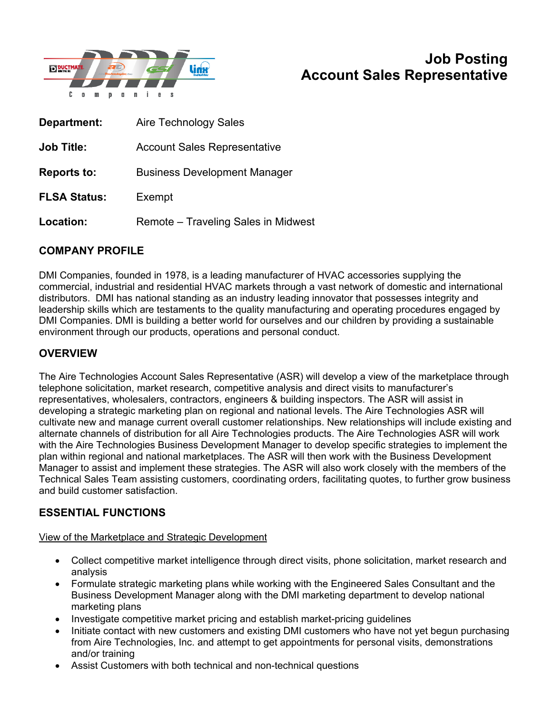

# **Job Posting Account Sales Representative**

| Department:         | <b>Aire Technology Sales</b>        |
|---------------------|-------------------------------------|
| <b>Job Title:</b>   | <b>Account Sales Representative</b> |
| <b>Reports to:</b>  | <b>Business Development Manager</b> |
| <b>FLSA Status:</b> | Exempt                              |
| Location:           | Remote – Traveling Sales in Midwest |

# **COMPANY PROFILE**

DMI Companies, founded in 1978, is a leading manufacturer of HVAC accessories supplying the commercial, industrial and residential HVAC markets through a vast network of domestic and international distributors. DMI has national standing as an industry leading innovator that possesses integrity and leadership skills which are testaments to the quality manufacturing and operating procedures engaged by DMI Companies. DMI is building a better world for ourselves and our children by providing a sustainable environment through our products, operations and personal conduct.

### **OVERVIEW**

The Aire Technologies Account Sales Representative (ASR) will develop a view of the marketplace through telephone solicitation, market research, competitive analysis and direct visits to manufacturer's representatives, wholesalers, contractors, engineers & building inspectors. The ASR will assist in developing a strategic marketing plan on regional and national levels. The Aire Technologies ASR will cultivate new and manage current overall customer relationships. New relationships will include existing and alternate channels of distribution for all Aire Technologies products. The Aire Technologies ASR will work with the Aire Technologies Business Development Manager to develop specific strategies to implement the plan within regional and national marketplaces. The ASR will then work with the Business Development Manager to assist and implement these strategies. The ASR will also work closely with the members of the Technical Sales Team assisting customers, coordinating orders, facilitating quotes, to further grow business and build customer satisfaction.

#### **ESSENTIAL FUNCTIONS**

View of the Marketplace and Strategic Development

- Collect competitive market intelligence through direct visits, phone solicitation, market research and analysis
- Formulate strategic marketing plans while working with the Engineered Sales Consultant and the Business Development Manager along with the DMI marketing department to develop national marketing plans
- Investigate competitive market pricing and establish market-pricing guidelines
- Initiate contact with new customers and existing DMI customers who have not yet begun purchasing from Aire Technologies, Inc. and attempt to get appointments for personal visits, demonstrations and/or training
- Assist Customers with both technical and non-technical questions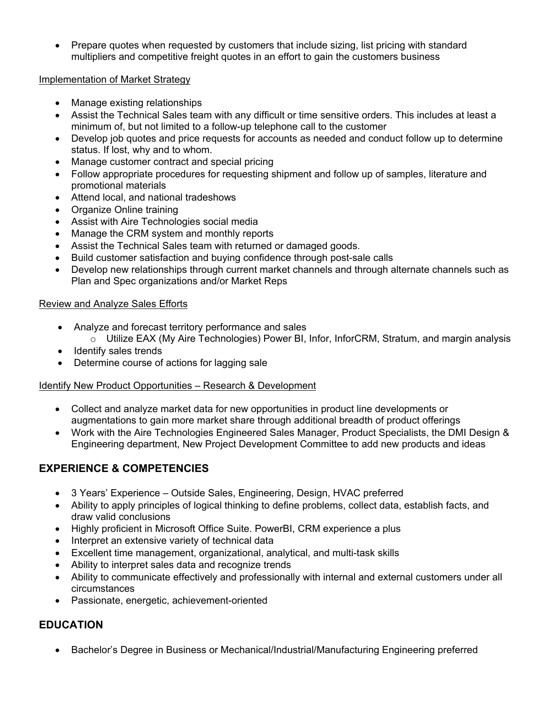• Prepare quotes when requested by customers that include sizing, list pricing with standard multipliers and competitive freight quotes in an effort to gain the customers business

#### Implementation of Market Strategy

- Manage existing relationships
- Assist the Technical Sales team with any difficult or time sensitive orders. This includes at least a minimum of, but not limited to a follow-up telephone call to the customer
- Develop job quotes and price requests for accounts as needed and conduct follow up to determine status. If lost, why and to whom.
- Manage customer contract and special pricing
- Follow appropriate procedures for requesting shipment and follow up of samples, literature and promotional materials
- Attend local, and national tradeshows
- Organize Online training
- Assist with Aire Technologies social media
- Manage the CRM system and monthly reports
- Assist the Technical Sales team with returned or damaged goods.
- Build customer satisfaction and buying confidence through post-sale calls
- Develop new relationships through current market channels and through alternate channels such as Plan and Spec organizations and/or Market Reps

## Review and Analyze Sales Efforts

- Analyze and forecast territory performance and sales
- $\circ$  Utilize EAX (My Aire Technologies) Power BI, Infor, InforCRM, Stratum, and margin analysis
- Identify sales trends
- Determine course of actions for lagging sale

# Identify New Product Opportunities – Research & Development

- Collect and analyze market data for new opportunities in product line developments or augmentations to gain more market share through additional breadth of product offerings
- Work with the Aire Technologies Engineered Sales Manager, Product Specialists, the DMI Design & Engineering department, New Project Development Committee to add new products and ideas

# **EXPERIENCE & COMPETENCIES**

- 3 Years' Experience Outside Sales, Engineering, Design, HVAC preferred
- Ability to apply principles of logical thinking to define problems, collect data, establish facts, and draw valid conclusions
- Highly proficient in Microsoft Office Suite. PowerBI, CRM experience a plus
- Interpret an extensive variety of technical data
- Excellent time management, organizational, analytical, and multi-task skills
- Ability to interpret sales data and recognize trends
- Ability to communicate effectively and professionally with internal and external customers under all circumstances
- Passionate, energetic, achievement-oriented

# **EDUCATION**

• Bachelor's Degree in Business or Mechanical/Industrial/Manufacturing Engineering preferred